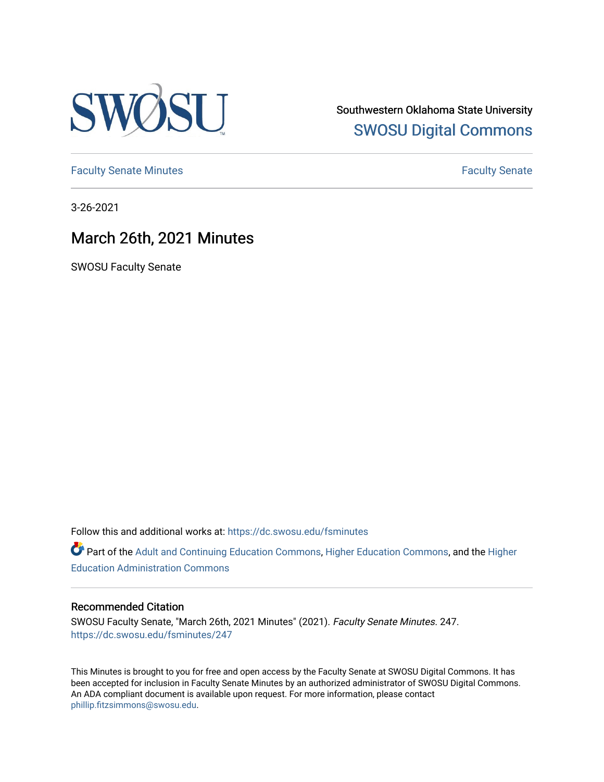

Southwestern Oklahoma State University [SWOSU Digital Commons](https://dc.swosu.edu/) 

[Faculty Senate Minutes](https://dc.swosu.edu/fsminutes) **Faculty** Senate Minutes

3-26-2021

# March 26th, 2021 Minutes

SWOSU Faculty Senate

Follow this and additional works at: [https://dc.swosu.edu/fsminutes](https://dc.swosu.edu/fsminutes?utm_source=dc.swosu.edu%2Ffsminutes%2F247&utm_medium=PDF&utm_campaign=PDFCoverPages) 

Part of the [Adult and Continuing Education Commons,](http://network.bepress.com/hgg/discipline/1375?utm_source=dc.swosu.edu%2Ffsminutes%2F247&utm_medium=PDF&utm_campaign=PDFCoverPages) [Higher Education Commons,](http://network.bepress.com/hgg/discipline/1245?utm_source=dc.swosu.edu%2Ffsminutes%2F247&utm_medium=PDF&utm_campaign=PDFCoverPages) and the [Higher](http://network.bepress.com/hgg/discipline/791?utm_source=dc.swosu.edu%2Ffsminutes%2F247&utm_medium=PDF&utm_campaign=PDFCoverPages) [Education Administration Commons](http://network.bepress.com/hgg/discipline/791?utm_source=dc.swosu.edu%2Ffsminutes%2F247&utm_medium=PDF&utm_campaign=PDFCoverPages) 

#### Recommended Citation

SWOSU Faculty Senate, "March 26th, 2021 Minutes" (2021). Faculty Senate Minutes. 247. [https://dc.swosu.edu/fsminutes/247](https://dc.swosu.edu/fsminutes/247?utm_source=dc.swosu.edu%2Ffsminutes%2F247&utm_medium=PDF&utm_campaign=PDFCoverPages) 

This Minutes is brought to you for free and open access by the Faculty Senate at SWOSU Digital Commons. It has been accepted for inclusion in Faculty Senate Minutes by an authorized administrator of SWOSU Digital Commons. An ADA compliant document is available upon request. For more information, please contact [phillip.fitzsimmons@swosu.edu](mailto:phillip.fitzsimmons@swosu.edu).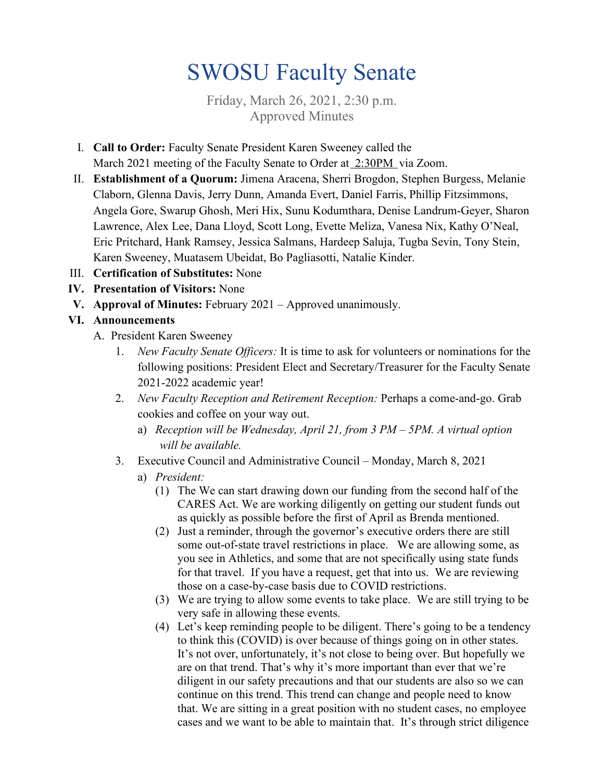# SWOSU Faculty Senate

Friday, March 26, 2021, 2:30 p.m. Approved Minutes

- I. **Call to Order:** Faculty Senate President Karen Sweeney called the March 2021 meeting of the Faculty Senate to Order at 2:30PM via Zoom.
- II. **Establishment of a Quorum:** Jimena Aracena, Sherri Brogdon, Stephen Burgess, Melanie Claborn, Glenna Davis, Jerry Dunn, Amanda Evert, Daniel Farris, Phillip Fitzsimmons, Angela Gore, Swarup Ghosh, Meri Hix, Sunu Kodumthara, Denise Landrum-Geyer, Sharon Lawrence, Alex Lee, Dana Lloyd, Scott Long, Evette Meliza, Vanesa Nix, Kathy O'Neal, Eric Pritchard, Hank Ramsey, Jessica Salmans, Hardeep Saluja, Tugba Sevin, Tony Stein, Karen Sweeney, Muatasem Ubeidat, Bo Pagliasotti, Natalie Kinder.
- III. **Certification of Substitutes:** None
- **IV. Presentation of Visitors:** None
- **V. Approval of Minutes:** February 2021 Approved unanimously.

# **VI. Announcements**

- A. President Karen Sweeney
	- 1. *New Faculty Senate Officers:* It is time to ask for volunteers or nominations for the following positions: President Elect and Secretary/Treasurer for the Faculty Senate 2021-2022 academic year!
	- 2. *New Faculty Reception and Retirement Reception:* Perhaps a come-and-go. Grab cookies and coffee on your way out.
		- a) *Reception will be Wednesday, April 21, from 3 PM – 5PM. A virtual option will be available.*
	- 3. Executive Council and Administrative Council Monday, March 8, 2021
		- a) *President:*
			- (1) The We can start drawing down our funding from the second half of the CARES Act. We are working diligently on getting our student funds out as quickly as possible before the first of April as Brenda mentioned.
			- (2) Just a reminder, through the governor's executive orders there are still some out-of-state travel restrictions in place. We are allowing some, as you see in Athletics, and some that are not specifically using state funds for that travel. If you have a request, get that into us. We are reviewing those on a case-by-case basis due to COVID restrictions.
			- (3) We are trying to allow some events to take place. We are still trying to be very safe in allowing these events.
			- (4) Let's keep reminding people to be diligent. There's going to be a tendency to think this (COVID) is over because of things going on in other states. It's not over, unfortunately, it's not close to being over. But hopefully we are on that trend. That's why it's more important than ever that we're diligent in our safety precautions and that our students are also so we can continue on this trend. This trend can change and people need to know that. We are sitting in a great position with no student cases, no employee cases and we want to be able to maintain that. It's through strict diligence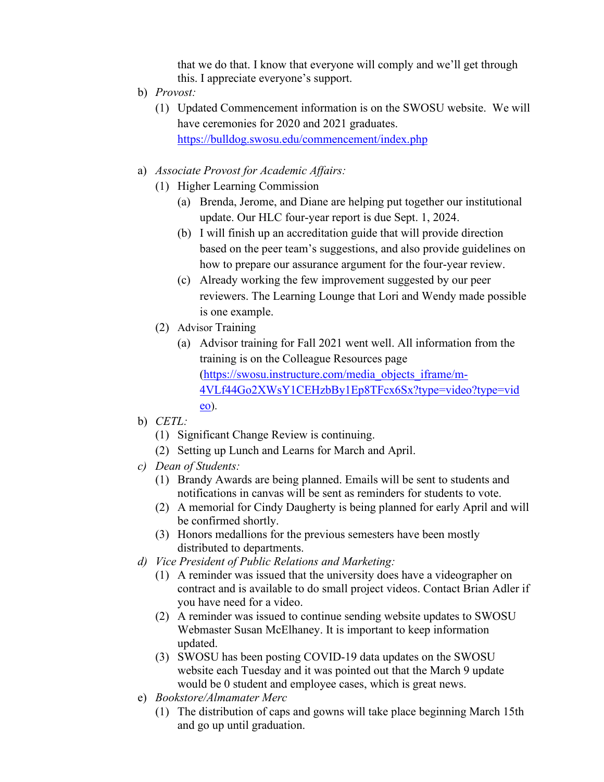that we do that. I know that everyone will comply and we'll get through this. I appreciate everyone's support.

- b) *Provost:*
	- (1) Updated Commencement information is on the SWOSU website. We will have ceremonies for 2020 and 2021 graduates. <https://bulldog.swosu.edu/commencement/index.php>
- a) *Associate Provost for Academic Affairs:*
	- (1) Higher Learning Commission
		- (a) Brenda, Jerome, and Diane are helping put together our institutional update. Our HLC four-year report is due Sept. 1, 2024.
		- (b) I will finish up an accreditation guide that will provide direction based on the peer team's suggestions, and also provide guidelines on how to prepare our assurance argument for the four-year review.
		- (c) Already working the few improvement suggested by our peer reviewers. The Learning Lounge that Lori and Wendy made possible is one example.
	- (2) Advisor Training
		- (a) Advisor training for Fall 2021 went well. All information from the training is on the Colleague Resources page [\(https://swosu.instructure.com/media\\_objects\\_iframe/m-](https://swosu.instructure.com/media_objects_iframe/m-4VLf44Go2XWsY1CEHzbBy1Ep8TFcx6Sx?type=video?type=video)[4VLf44Go2XWsY1CEHzbBy1Ep8TFcx6Sx?type=video?type=vid](https://swosu.instructure.com/media_objects_iframe/m-4VLf44Go2XWsY1CEHzbBy1Ep8TFcx6Sx?type=video?type=video) [eo\)](https://swosu.instructure.com/media_objects_iframe/m-4VLf44Go2XWsY1CEHzbBy1Ep8TFcx6Sx?type=video?type=video).
- b) *CETL:*
	- (1) Significant Change Review is continuing.
	- (2) Setting up Lunch and Learns for March and April.
- *c) Dean of Students:* 
	- (1) Brandy Awards are being planned. Emails will be sent to students and notifications in canvas will be sent as reminders for students to vote.
	- (2) A memorial for Cindy Daugherty is being planned for early April and will be confirmed shortly.
	- (3) Honors medallions for the previous semesters have been mostly distributed to departments.
- *d) Vice President of Public Relations and Marketing:* 
	- (1) A reminder was issued that the university does have a videographer on contract and is available to do small project videos. Contact Brian Adler if you have need for a video.
	- (2) A reminder was issued to continue sending website updates to SWOSU Webmaster Susan McElhaney. It is important to keep information updated.
	- (3) SWOSU has been posting COVID-19 data updates on the SWOSU website each Tuesday and it was pointed out that the March 9 update would be 0 student and employee cases, which is great news.
- e) *Bookstore/Almamater Merc*
	- (1) The distribution of caps and gowns will take place beginning March 15th and go up until graduation.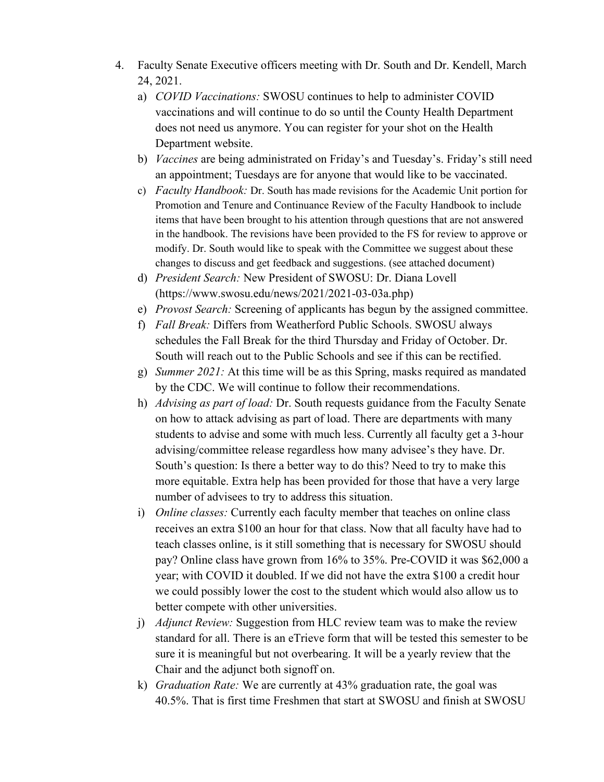- 4. Faculty Senate Executive officers meeting with Dr. South and Dr. Kendell, March 24, 2021.
	- a) *COVID Vaccinations:* SWOSU continues to help to administer COVID vaccinations and will continue to do so until the County Health Department does not need us anymore. You can register for your shot on the Health Department website.
	- b) *Vaccines* are being administrated on Friday's and Tuesday's. Friday's still need an appointment; Tuesdays are for anyone that would like to be vaccinated.
	- c) *Faculty Handbook:* Dr. South has made revisions for the Academic Unit portion for Promotion and Tenure and Continuance Review of the Faculty Handbook to include items that have been brought to his attention through questions that are not answered in the handbook. The revisions have been provided to the FS for review to approve or modify. Dr. South would like to speak with the Committee we suggest about these changes to discuss and get feedback and suggestions. (see attached document)
	- d) *President Search:* New President of SWOSU: Dr. Diana Lovell (https://www.swosu.edu/news/2021/2021-03-03a.php)
	- e) *Provost Search:* Screening of applicants has begun by the assigned committee.
	- f) *Fall Break:* Differs from Weatherford Public Schools. SWOSU always schedules the Fall Break for the third Thursday and Friday of October. Dr. South will reach out to the Public Schools and see if this can be rectified.
	- g) *Summer 2021:* At this time will be as this Spring, masks required as mandated by the CDC. We will continue to follow their recommendations.
	- h) *Advising as part of load:* Dr. South requests guidance from the Faculty Senate on how to attack advising as part of load. There are departments with many students to advise and some with much less. Currently all faculty get a 3-hour advising/committee release regardless how many advisee's they have. Dr. South's question: Is there a better way to do this? Need to try to make this more equitable. Extra help has been provided for those that have a very large number of advisees to try to address this situation.
	- i) *Online classes:* Currently each faculty member that teaches on online class receives an extra \$100 an hour for that class. Now that all faculty have had to teach classes online, is it still something that is necessary for SWOSU should pay? Online class have grown from 16% to 35%. Pre-COVID it was \$62,000 a year; with COVID it doubled. If we did not have the extra \$100 a credit hour we could possibly lower the cost to the student which would also allow us to better compete with other universities.
	- j) *Adjunct Review:* Suggestion from HLC review team was to make the review standard for all. There is an eTrieve form that will be tested this semester to be sure it is meaningful but not overbearing. It will be a yearly review that the Chair and the adjunct both signoff on.
	- k) *Graduation Rate:* We are currently at 43% graduation rate, the goal was 40.5%. That is first time Freshmen that start at SWOSU and finish at SWOSU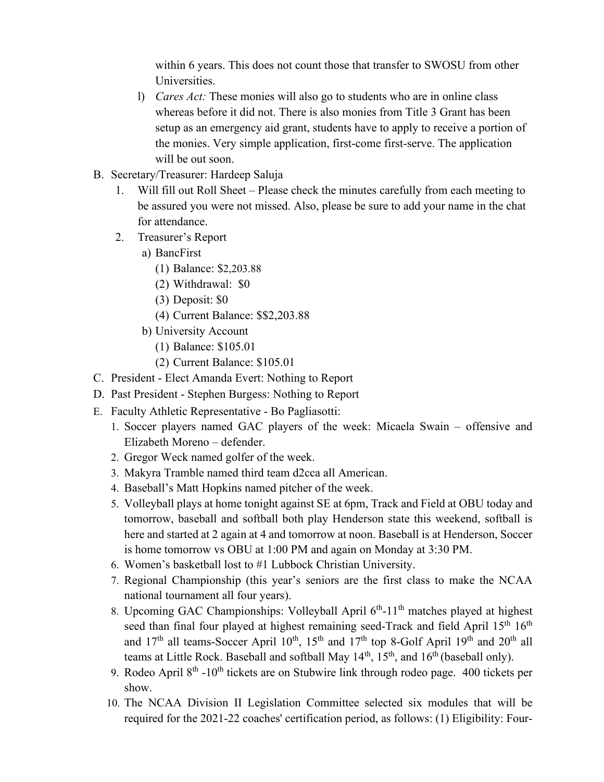within 6 years. This does not count those that transfer to SWOSU from other Universities.

- l) *Cares Act:* These monies will also go to students who are in online class whereas before it did not. There is also monies from Title 3 Grant has been setup as an emergency aid grant, students have to apply to receive a portion of the monies. Very simple application, first-come first-serve. The application will be out soon.
- B. Secretary/Treasurer: Hardeep Saluja
	- 1. Will fill out Roll Sheet Please check the minutes carefully from each meeting to be assured you were not missed. Also, please be sure to add your name in the chat for attendance.
	- 2. Treasurer's Report
		- a) BancFirst
			- (1) Balance: \$2,203.88
			- (2) Withdrawal: \$0
			- (3) Deposit: \$0
			- (4) Current Balance: \$\$2,203.88
		- b) University Account
			- (1) Balance: \$105.01
			- (2) Current Balance: \$105.01
- C. President Elect Amanda Evert: Nothing to Report
- D. Past President Stephen Burgess: Nothing to Report
- E. Faculty Athletic Representative Bo Pagliasotti:
	- 1. Soccer players named GAC players of the week: Micaela Swain offensive and Elizabeth Moreno – defender.
	- 2. Gregor Weck named golfer of the week.
	- 3. Makyra Tramble named third team d2cca all American.
	- 4. Baseball's Matt Hopkins named pitcher of the week.
	- 5. Volleyball plays at home tonight against SE at 6pm, Track and Field at OBU today and tomorrow, baseball and softball both play Henderson state this weekend, softball is here and started at 2 again at 4 and tomorrow at noon. Baseball is at Henderson, Soccer is home tomorrow vs OBU at 1:00 PM and again on Monday at 3:30 PM.
	- 6. Women's basketball lost to #1 Lubbock Christian University.
	- 7. Regional Championship (this year's seniors are the first class to make the NCAA national tournament all four years).
	- 8. Upcoming GAC Championships: Volleyball April  $6<sup>th</sup>$ -11<sup>th</sup> matches played at highest seed than final four played at highest remaining seed-Track and field April 15<sup>th</sup> 16<sup>th</sup> and  $17<sup>th</sup>$  all teams-Soccer April  $10<sup>th</sup>$ ,  $15<sup>th</sup>$  and  $17<sup>th</sup>$  top 8-Golf April  $19<sup>th</sup>$  and  $20<sup>th</sup>$  all teams at Little Rock. Baseball and softball May 14<sup>th</sup>, 15<sup>th</sup>, and 16<sup>th</sup> (baseball only).
	- 9. Rodeo April  $8<sup>th</sup> -10<sup>th</sup>$  tickets are on Stubwire link through rodeo page. 400 tickets per show.
	- 10. The NCAA Division II Legislation Committee selected six modules that will be required for the 2021-22 coaches' certification period, as follows: (1) Eligibility: Four-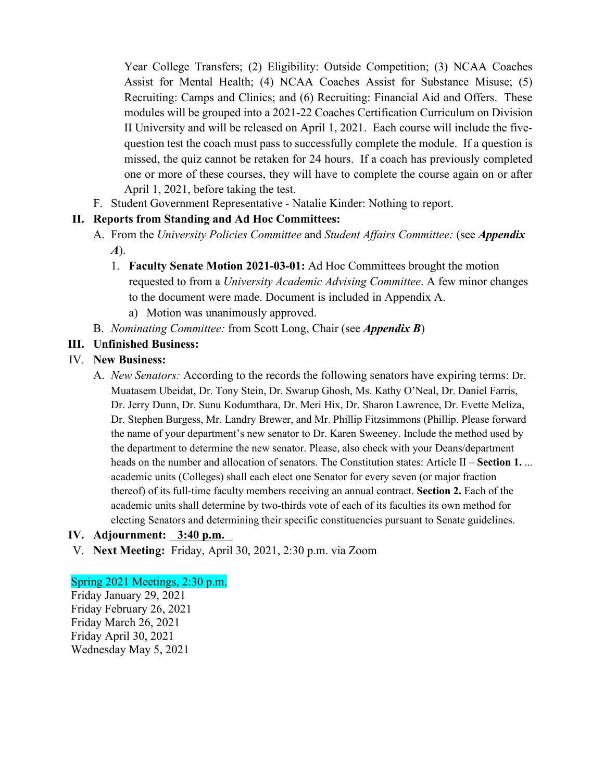Year College Transfers; (2) Eligibility: Outside Competition; (3) NCAA Coaches Assist for Mental Health; (4) NCAA Coaches Assist for Substance Misuse; (5) Recruiting: Camps and Clinics; and (6) Recruiting: Financial Aid and Offers. These modules will be grouped into a 2021-22 Coaches Certification Curriculum on Division II University and will be released on April 1, 2021. Each course will include the fivequestion test the coach must pass to successfully complete the module. If a question is missed, the quiz cannot be retaken for 24 hours. If a coach has previously completed one or more of these courses, they will have to complete the course again on or after April 1, 2021, before taking the test.

F. Student Government Representative - Natalie Kinder: Nothing to report.

# **II. Reports from Standing and Ad Hoc Committees:**

- A. From the *University Policies Committee* and *Student Affairs Committee:* (see *Appendix A*).
	- 1. **Faculty Senate Motion 2021-03-01:** Ad Hoc Committees brought the motion requested to from a *University Academic Advising Committee*. A few minor changes to the document were made. Document is included in Appendix A.
		- a) Motion was unanimously approved.
- B. *Nominating Committee:* from Scott Long, Chair (see *Appendix B*)

# **III. Unfinished Business:**

#### IV. **New Business:**

A. *New Senators:* According to the records the following senators have expiring terms: Dr. Muatasem Ubeidat, Dr. Tony Stein, Dr. Swarup Ghosh, Ms. Kathy O'Neal, Dr. Daniel Farris, Dr. Jerry Dunn, Dr. Sunu Kodumthara, Dr. Meri Hix, Dr. Sharon Lawrence, Dr. Evette Meliza, Dr. Stephen Burgess, Mr. Landry Brewer, and Mr. Phillip Fitzsimmons (Phillip. Please forward the name of your department's new senator to Dr. Karen Sweeney. Include the method used by the department to determine the new senator. Please, also check with your Deans/department heads on the number and allocation of senators. The Constitution states: Article II – **Section 1.** ... academic units (Colleges) shall each elect one Senator for every seven (or major fraction thereof) of its full-time faculty members receiving an annual contract. **Section 2.** Each of the academic units shall determine by two-thirds vote of each of its faculties its own method for electing Senators and determining their specific constituencies pursuant to Senate guidelines.

#### **IV. Adjournment: 3:40 p.m.**

V. **Next Meeting:** Friday, April 30, 2021, 2:30 p.m. via Zoom

#### Spring 2021 Meetings, 2:30 p.m.

Friday January 29, 2021 Friday February 26, 2021 Friday March 26, 2021 Friday April 30, 2021 Wednesday May 5, 2021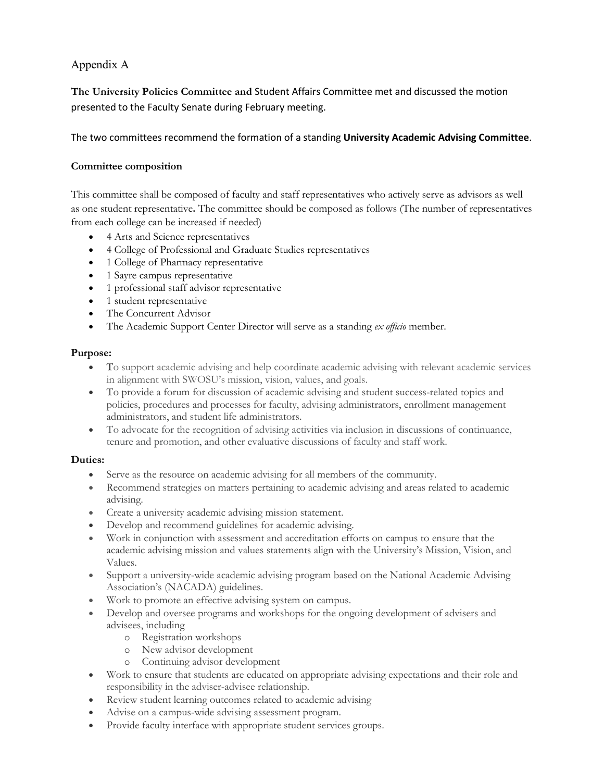#### Appendix A

**The University Policies Committee and** Student Affairs Committee met and discussed the motion presented to the Faculty Senate during February meeting.

The two committees recommend the formation of a standing **University Academic Advising Committee**.

#### **Committee composition**

This committee shall be composed of faculty and staff representatives who actively serve as advisors as well as one student representative**.** The committee should be composed as follows (The number of representatives from each college can be increased if needed)

- 4 Arts and Science representatives
- 4 College of Professional and Graduate Studies representatives
- 1 College of Pharmacy representative
- 1 Sayre campus representative
- 1 professional staff advisor representative
- 1 student representative
- The Concurrent Advisor
- The Academic Support Center Director will serve as a standing *ex officio* member.

#### **Purpose:**

- To support academic advising and help coordinate academic advising with relevant academic services in alignment with SWOSU's mission, vision, values, and goals.
- To provide a forum for discussion of academic advising and student success-related topics and policies, procedures and processes for faculty, advising administrators, enrollment management administrators, and student life administrators.
- To advocate for the recognition of advising activities via inclusion in discussions of continuance, tenure and promotion, and other evaluative discussions of faculty and staff work.

#### **Duties:**

- Serve as the resource on academic advising for all members of the community.
- Recommend strategies on matters pertaining to academic advising and areas related to academic advising.
- Create a university academic advising mission statement.
- Develop and recommend guidelines for academic advising.
- Work in conjunction with assessment and accreditation efforts on campus to ensure that the academic advising mission and values statements align with the University's Mission, Vision, and Values.
- Support a university-wide academic advising program based on the National Academic Advising Association's (NACADA) guidelines.
- Work to promote an effective advising system on campus.
- Develop and oversee programs and workshops for the ongoing development of advisers and advisees, including
	- o Registration workshops
	- o New advisor development
	- o Continuing advisor development
- Work to ensure that students are educated on appropriate advising expectations and their role and responsibility in the adviser-advisee relationship.
- Review student learning outcomes related to academic advising
- Advise on a campus-wide advising assessment program.
- Provide faculty interface with appropriate student services groups.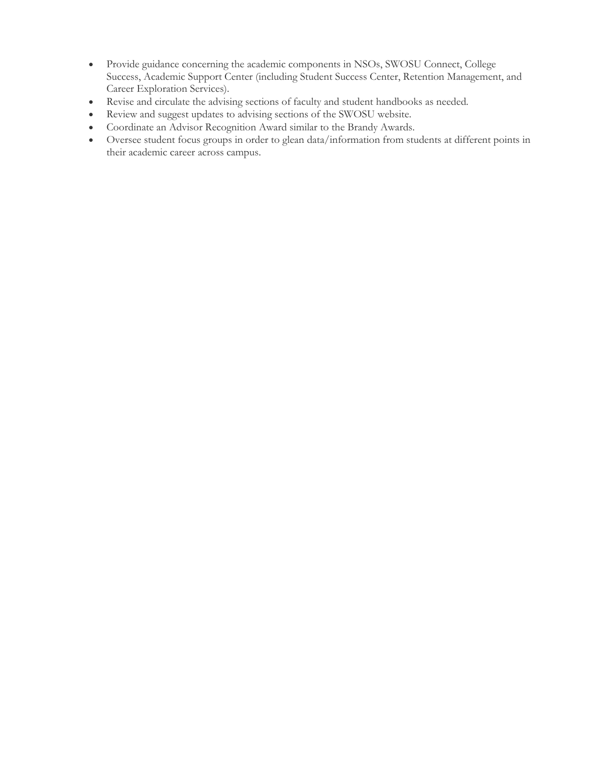- Provide guidance concerning the academic components in NSOs, SWOSU Connect, College Success, Academic Support Center (including Student Success Center, Retention Management, and Career Exploration Services).
- Revise and circulate the advising sections of faculty and student handbooks as needed.
- Review and suggest updates to advising sections of the SWOSU website.
- Coordinate an Advisor Recognition Award similar to the Brandy Awards.
- Oversee student focus groups in order to glean data/information from students at different points in their academic career across campus.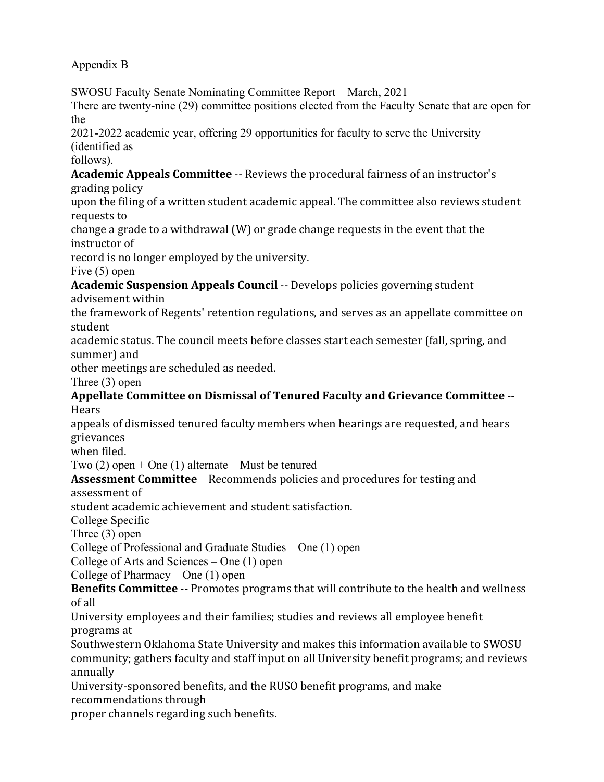# Appendix B

SWOSU Faculty Senate Nominating Committee Report – March, 2021 There are twenty-nine (29) committee positions elected from the Faculty Senate that are open for the 2021-2022 academic year, offering 29 opportunities for faculty to serve the University (identified as follows). **Academic Appeals Committee** -- Reviews the procedural fairness of an instructor's grading policy upon the filing of a written student academic appeal. The committee also reviews student requests to change a grade to a withdrawal (W) or grade change requests in the event that the instructor of record is no longer employed by the university. Five (5) open **Academic Suspension Appeals Council** -- Develops policies governing student advisement within the framework of Regents' retention regulations, and serves as an appellate committee on student academic status. The council meets before classes start each semester (fall, spring, and summer) and other meetings are scheduled as needed. Three (3) open **Appellate Committee on Dismissal of Tenured Faculty and Grievance Committee** -- **Hears** appeals of dismissed tenured faculty members when hearings are requested, and hears grievances when filed. Two  $(2)$  open + One  $(1)$  alternate – Must be tenured **Assessment Committee** – Recommends policies and procedures for testing and assessment of student academic achievement and student satisfaction. College Specific Three (3) open College of Professional and Graduate Studies – One (1) open College of Arts and Sciences – One (1) open College of Pharmacy – One (1) open **Benefits Committee** -- Promotes programs that will contribute to the health and wellness of all University employees and their families; studies and reviews all employee benefit programs at Southwestern Oklahoma State University and makes this information available to SWOSU community; gathers faculty and staff input on all University benefit programs; and reviews annually University-sponsored benefits, and the RUSO benefit programs, and make recommendations through proper channels regarding such benefits.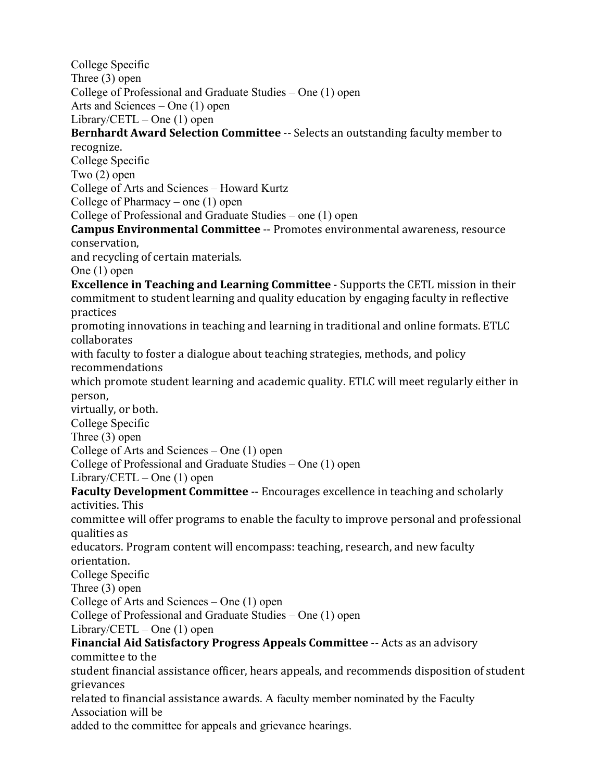College Specific Three (3) open College of Professional and Graduate Studies – One (1) open Arts and Sciences – One (1) open Library/CETL – One  $(1)$  open **Bernhardt Award Selection Committee** -- Selects an outstanding faculty member to recognize. College Specific Two (2) open College of Arts and Sciences – Howard Kurtz College of Pharmacy – one (1) open College of Professional and Graduate Studies – one (1) open **Campus Environmental Committee** -- Promotes environmental awareness, resource conservation, and recycling of certain materials. One (1) open **Excellence in Teaching and Learning Committee** - Supports the CETL mission in their commitment to student learning and quality education by engaging faculty in reflective practices promoting innovations in teaching and learning in traditional and online formats. ETLC collaborates with faculty to foster a dialogue about teaching strategies, methods, and policy recommendations which promote student learning and academic quality. ETLC will meet regularly either in person, virtually, or both. College Specific Three (3) open College of Arts and Sciences – One (1) open College of Professional and Graduate Studies – One (1) open Library/CETL – One  $(1)$  open **Faculty Development Committee** -- Encourages excellence in teaching and scholarly activities. This committee will offer programs to enable the faculty to improve personal and professional qualities as educators. Program content will encompass: teaching, research, and new faculty orientation. College Specific Three (3) open College of Arts and Sciences – One (1) open College of Professional and Graduate Studies – One (1) open Library/CETL – One  $(1)$  open **Financial Aid Satisfactory Progress Appeals Committee** -- Acts as an advisory committee to the student financial assistance officer, hears appeals, and recommends disposition of student grievances related to financial assistance awards. A faculty member nominated by the Faculty Association will be added to the committee for appeals and grievance hearings.